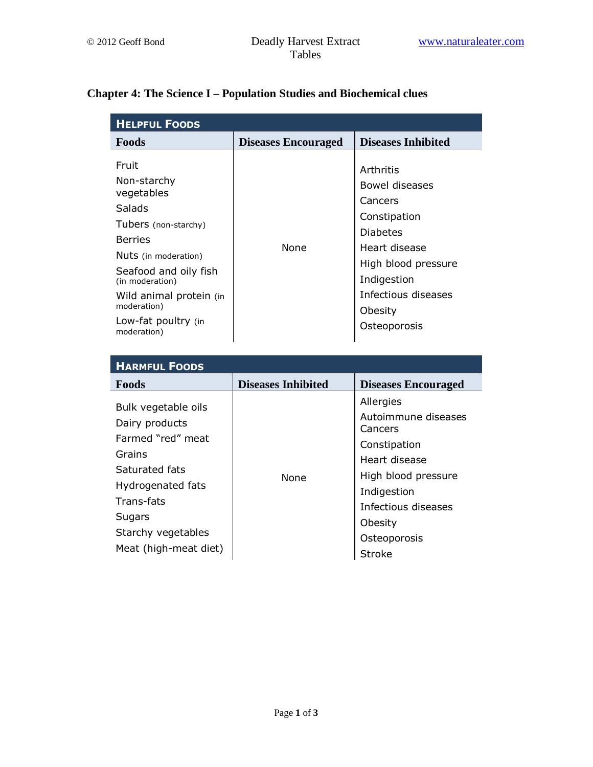## **Chapter 4: The Science I – Population Studies and Biochemical clues**

| <b>HELPFUL FOODS</b>                                                                                                                                                                                                                              |                            |                                                                                                                                                                                    |  |  |
|---------------------------------------------------------------------------------------------------------------------------------------------------------------------------------------------------------------------------------------------------|----------------------------|------------------------------------------------------------------------------------------------------------------------------------------------------------------------------------|--|--|
| Foods                                                                                                                                                                                                                                             | <b>Diseases Encouraged</b> | <b>Diseases Inhibited</b>                                                                                                                                                          |  |  |
| Fruit<br>Non-starchy<br>vegetables<br><b>Salads</b><br>Tubers (non-starchy)<br><b>Berries</b><br>Nuts (in moderation)<br>Seafood and oily fish<br>(in moderation)<br>Wild animal protein (in<br>moderation)<br>Low-fat poultry (in<br>moderation) | None                       | Arthritis<br>Bowel diseases<br>Cancers<br>Constipation<br><b>Diabetes</b><br>Heart disease<br>High blood pressure<br>Indigestion<br>Infectious diseases<br>Obesity<br>Osteoporosis |  |  |

| <b>HARMFUL FOODS</b>                                                                                                                                                               |                           |                                                                                                                                                                                       |
|------------------------------------------------------------------------------------------------------------------------------------------------------------------------------------|---------------------------|---------------------------------------------------------------------------------------------------------------------------------------------------------------------------------------|
| <b>Foods</b>                                                                                                                                                                       | <b>Diseases Inhibited</b> | <b>Diseases Encouraged</b>                                                                                                                                                            |
| Bulk vegetable oils<br>Dairy products<br>Farmed "red" meat<br>Grains<br>Saturated fats<br>Hydrogenated fats<br>Trans-fats<br>Sugars<br>Starchy vegetables<br>Meat (high-meat diet) | None                      | Allergies<br>Autoimmune diseases<br>Cancers<br>Constipation<br>Heart disease<br>High blood pressure<br>Indigestion<br>Infectious diseases<br>Obesity<br>Osteoporosis<br><b>Stroke</b> |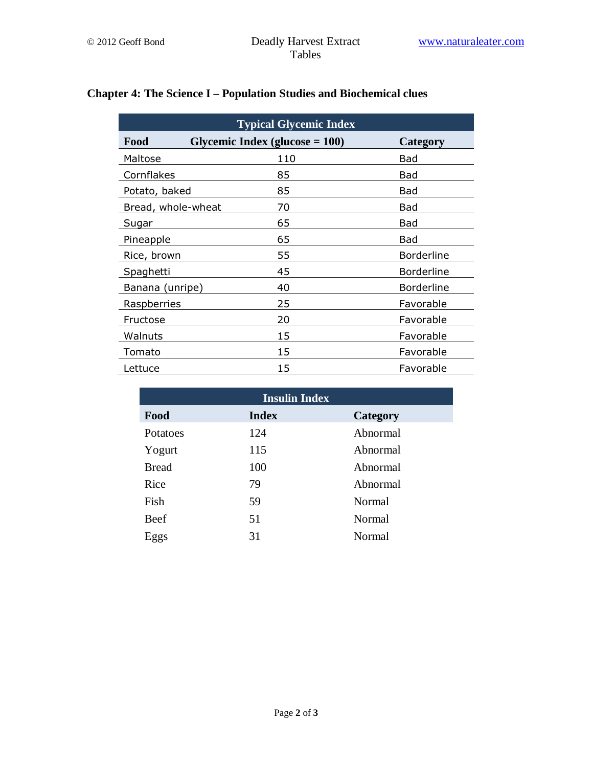| <b>Typical Glycemic Index</b> |                                   |                   |  |  |  |
|-------------------------------|-----------------------------------|-------------------|--|--|--|
| Food                          | Glycemic Index (glucose $= 100$ ) | Category          |  |  |  |
| Maltose                       | 110                               | Bad               |  |  |  |
| Cornflakes                    | 85                                | Bad               |  |  |  |
| Potato, baked                 | 85                                | Bad               |  |  |  |
| Bread, whole-wheat            | 70                                | Bad               |  |  |  |
| Sugar                         | 65                                | Bad               |  |  |  |
| Pineapple                     | 65                                | Bad               |  |  |  |
| Rice, brown                   | 55                                | <b>Borderline</b> |  |  |  |
| Spaghetti                     | 45                                | <b>Borderline</b> |  |  |  |
| Banana (unripe)               | 40                                | <b>Borderline</b> |  |  |  |
| Raspberries                   | 25                                | Favorable         |  |  |  |
| Fructose                      | 20                                | Favorable         |  |  |  |
| Walnuts                       | 15                                | Favorable         |  |  |  |
| Tomato                        | 15                                | Favorable         |  |  |  |
| Lettuce                       | 15                                | Favorable         |  |  |  |

## **Chapter 4: The Science I – Population Studies and Biochemical clues**

| <b>Insulin Index</b> |              |          |  |  |
|----------------------|--------------|----------|--|--|
| Food                 | <b>Index</b> | Category |  |  |
| Potatoes             | 124          | Abnormal |  |  |
| Yogurt               | 115          | Abnormal |  |  |
| <b>Bread</b>         | 100          | Abnormal |  |  |
| Rice                 | 79           | Abnormal |  |  |
| Fish                 | 59           | Normal   |  |  |
| Beef                 | 51           | Normal   |  |  |
| Eggs                 | 31           | Normal   |  |  |